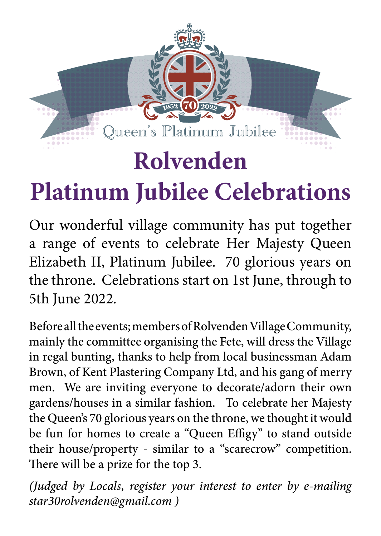# Queen's Platinum Jubilee **Rolvenden**

# **Platinum Jubilee Celebrations**

Our wonderful village community has put together a range of events to celebrate Her Majesty Queen Elizabeth II, Platinum Jubilee. 70 glorious years on the throne. Celebrations start on 1st June, through to 5th June 2022.

Before all the events; members of Rolvenden Village Community, mainly the committee organising the Fete, will dress the Village in regal bunting, thanks to help from local businessman Adam Brown, of Kent Plastering Company Ltd, and his gang of merry men. We are inviting everyone to decorate/adorn their own gardens/houses in a similar fashion. To celebrate her Majesty the Queen's 70 glorious years on the throne, we thought it would be fun for homes to create a "Queen Effigy" to stand outside their house/property - similar to a "scarecrow" competition. There will be a prize for the top 3.

*(Judged by Locals, register your interest to enter by e-mailing star30rolvenden@gmail.com )*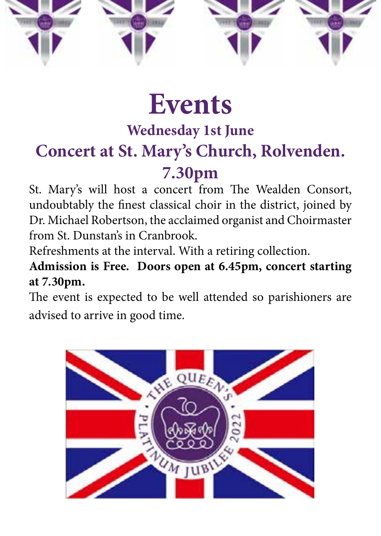

# **Events**

# **Wednesday 1st June**

# **Concert at St. Mary's Church, Rolvenden.**

## **7.30pm**

St. Mary's will host a concert from The Wealden Consort, undoubtably the finest classical choir in the district, joined by Dr. Michael Robertson, the acclaimed organist and Choirmaster from St. Dunstan's in Cranbrook.

Refreshments at the interval. With a retiring collection.

**Admission is Free. Doors open at 6.45pm, concert starting at 7.30pm.** 

The event is expected to be well attended so parishioners are advised to arrive in good time.

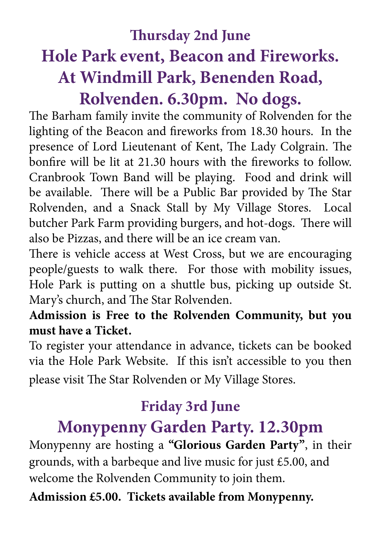## **Thursday 2nd June Hole Park event, Beacon and Fireworks. At Windmill Park, Benenden Road, Rolvenden. 6.30pm. No dogs.**

The Barham family invite the community of Rolvenden for the lighting of the Beacon and fireworks from 18.30 hours. In the presence of Lord Lieutenant of Kent, The Lady Colgrain. The bonfire will be lit at 21.30 hours with the fireworks to follow. Cranbrook Town Band will be playing. Food and drink will be available. There will be a Public Bar provided by The Star Rolvenden, and a Snack Stall by My Village Stores. Local butcher Park Farm providing burgers, and hot-dogs. There will also be Pizzas, and there will be an ice cream van.

There is vehicle access at West Cross, but we are encouraging people/guests to walk there. For those with mobility issues, Hole Park is putting on a shuttle bus, picking up outside St. Mary's church, and The Star Rolvenden.

#### **Admission is Free to the Rolvenden Community, but you must have a Ticket.**

To register your attendance in advance, tickets can be booked via the Hole Park Website. If this isn't accessible to you then please visit The Star Rolvenden or My Village Stores.

#### **Friday 3rd June**

### **Monypenny Garden Party. 12.30pm**

Monypenny are hosting a **"Glorious Garden Party"**, in their grounds, with a barbeque and live music for just £5.00, and welcome the Rolvenden Community to join them.

**Admission £5.00. Tickets available from Monypenny.**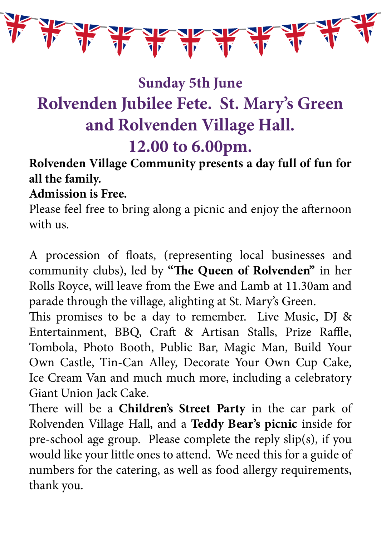

## **Sunday 5th June Rolvenden Jubilee Fete. St. Mary's Green and Rolvenden Village Hall. 12.00 to 6.00pm.**

#### **Rolvenden Village Community presents a day full of fun for all the family.**

#### **Admission is Free.**

Please feel free to bring along a picnic and enjoy the afternoon with us.

A procession of floats, (representing local businesses and community clubs), led by **"The Queen of Rolvenden"** in her Rolls Royce, will leave from the Ewe and Lamb at 11.30am and parade through the village, alighting at St. Mary's Green.

This promises to be a day to remember. Live Music, DJ & Entertainment, BBQ, Craft & Artisan Stalls, Prize Raffle, Tombola, Photo Booth, Public Bar, Magic Man, Build Your Own Castle, Tin-Can Alley, Decorate Your Own Cup Cake, Ice Cream Van and much much more, including a celebratory Giant Union Jack Cake.

There will be a **Children's Street Party** in the car park of Rolvenden Village Hall, and a **Teddy Bear's picnic** inside for pre-school age group. Please complete the reply slip(s), if you would like your little ones to attend. We need this for a guide of numbers for the catering, as well as food allergy requirements, thank you.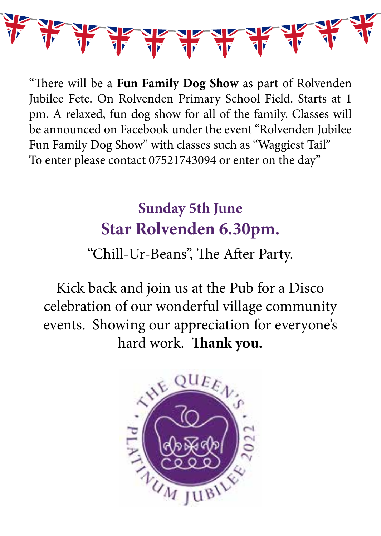

"There will be a **Fun Family Dog Show** as part of Rolvenden Jubilee Fete. On Rolvenden Primary School Field. Starts at 1 pm. A relaxed, fun dog show for all of the family. Classes will be announced on Facebook under the event "Rolvenden Jubilee Fun Family Dog Show" with classes such as "Waggiest Tail" To enter please contact 07521743094 or enter on the day"

## **Sunday 5th June Star Rolvenden 6.30pm.**

"Chill-Ur-Beans", The After Party.

Kick back and join us at the Pub for a Disco celebration of our wonderful village community events. Showing our appreciation for everyone's hard work. **Thank you.**

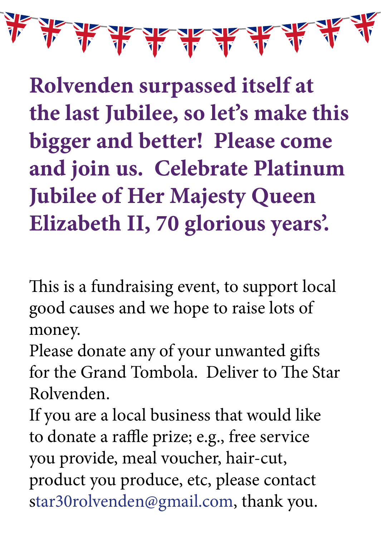**Rolvenden surpassed itself at the last Jubilee, so let's make this bigger and better! Please come and join us. Celebrate Platinum Jubilee of Her Majesty Queen Elizabeth II, 70 glorious years'.**

This is a fundraising event, to support local good causes and we hope to raise lots of money.

Please donate any of your unwanted gifts for the Grand Tombola. Deliver to The Star Rolvenden.

If you are a local business that would like to donate a raffle prize; e.g., free service you provide, meal voucher, hair-cut, product you produce, etc, please contact star30rolvenden@gmail.com, thank you.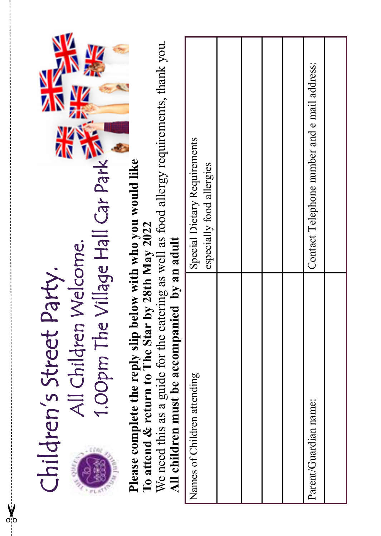| 1.00pm The Village Hall Car Park<br>All Children Welcome. | V                        |                                                                                                                                                                                                                                                              | Special Dietary Requirements<br>especially food allergies |  |  | Contact Telephone number and e mail address: |  |
|-----------------------------------------------------------|--------------------------|--------------------------------------------------------------------------------------------------------------------------------------------------------------------------------------------------------------------------------------------------------------|-----------------------------------------------------------|--|--|----------------------------------------------|--|
| třo                                                       | Children's Street Party. | We need this as a guide for the catering as well as food allergy requirements, thank you.<br>Please complete the reply slip below with who you would like<br>To attend & return to The Star by 28th May 2022<br>All children must be accompanied by an adult | Names of Children attending                               |  |  | Parent/Guardian name:                        |  |

✂